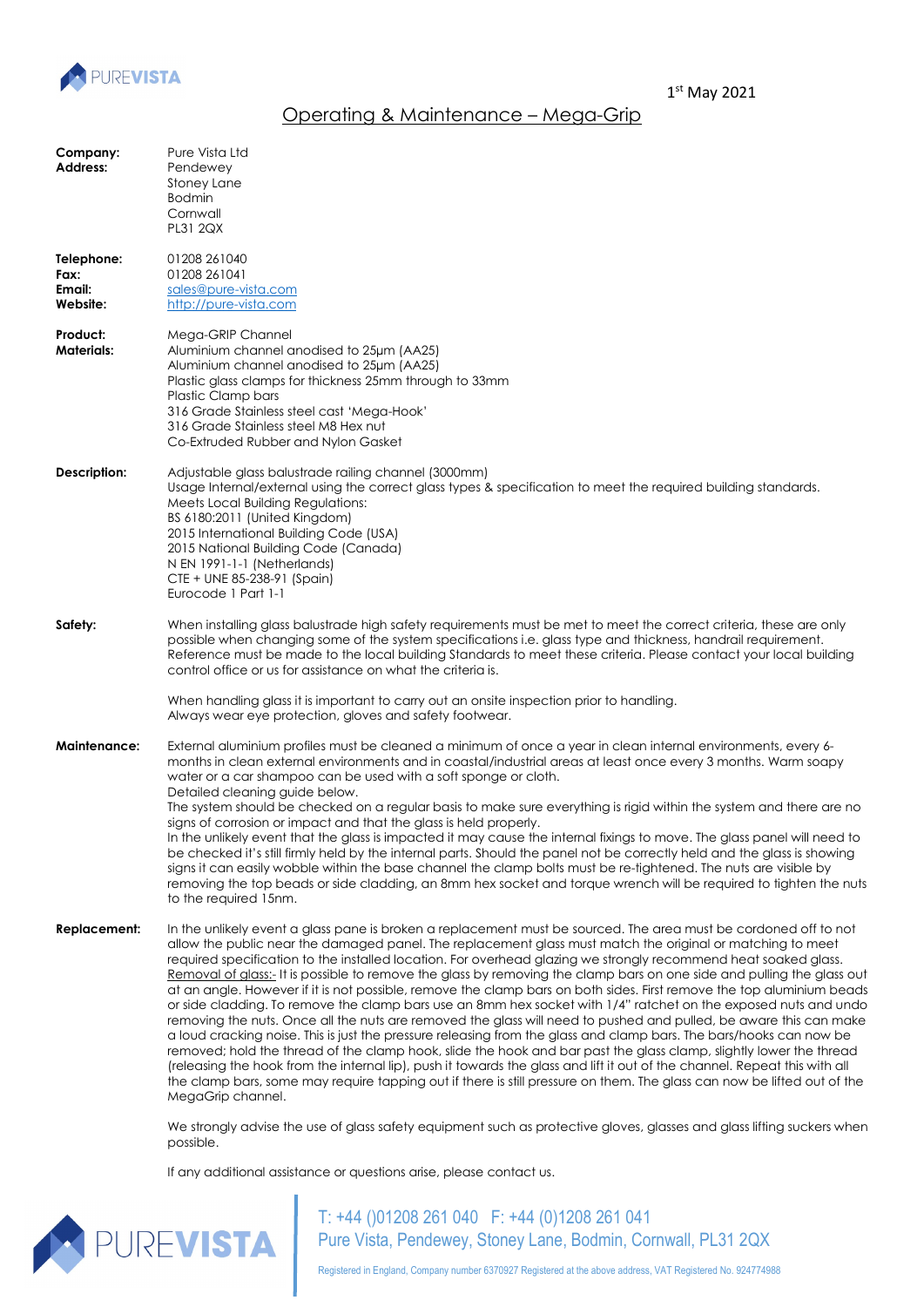

## Operating & Maintenance – Mega-Grip

| Company:<br><b>Address:</b>              | Pure Vista Ltd<br>Pendewey<br>Stoney Lane<br><b>Bodmin</b><br>Cornwall<br><b>PL31 2QX</b>                                                                                                                                                                                                                                                                                                                                                                                                                                                                                                                                                                                                                                                                                                                                                                                                                                                                                                                                                                                                                                                                                                                                                                                                                                                                               |
|------------------------------------------|-------------------------------------------------------------------------------------------------------------------------------------------------------------------------------------------------------------------------------------------------------------------------------------------------------------------------------------------------------------------------------------------------------------------------------------------------------------------------------------------------------------------------------------------------------------------------------------------------------------------------------------------------------------------------------------------------------------------------------------------------------------------------------------------------------------------------------------------------------------------------------------------------------------------------------------------------------------------------------------------------------------------------------------------------------------------------------------------------------------------------------------------------------------------------------------------------------------------------------------------------------------------------------------------------------------------------------------------------------------------------|
| Telephone:<br>Fax:<br>Email:<br>Website: | 01208 261040<br>01208 261041<br>sales@pure-vista.com<br>http://pure-vista.com                                                                                                                                                                                                                                                                                                                                                                                                                                                                                                                                                                                                                                                                                                                                                                                                                                                                                                                                                                                                                                                                                                                                                                                                                                                                                           |
| Product:<br><b>Materials:</b>            | Mega-GRIP Channel<br>Aluminium channel anodised to 25um (AA25)<br>Aluminium channel anodised to 25um (AA25)<br>Plastic glass clamps for thickness 25mm through to 33mm<br>Plastic Clamp bars<br>316 Grade Stainless steel cast 'Mega-Hook'<br>316 Grade Stainless steel M8 Hex nut<br>Co-Extruded Rubber and Nylon Gasket                                                                                                                                                                                                                                                                                                                                                                                                                                                                                                                                                                                                                                                                                                                                                                                                                                                                                                                                                                                                                                               |
| Description:                             | Adjustable glass balustrade railing channel (3000mm)<br>Usage Internal/external using the correct glass types & specification to meet the required building standards.<br>Meets Local Building Regulations:<br>BS 6180:2011 (United Kingdom)<br>2015 International Building Code (USA)<br>2015 National Building Code (Canada)<br>N EN 1991-1-1 (Netherlands)<br>CTE + UNE 85-238-91 (Spain)<br>Eurocode 1 Part 1-1                                                                                                                                                                                                                                                                                                                                                                                                                                                                                                                                                                                                                                                                                                                                                                                                                                                                                                                                                     |
| Safety:                                  | When installing glass balustrade high safety requirements must be met to meet the correct criteria, these are only<br>possible when changing some of the system specifications i.e. glass type and thickness, handrail requirement.<br>Reference must be made to the local building Standards to meet these criteria. Please contact your local building<br>control office or us for assistance on what the criteria is.<br>When handling glass it is important to carry out an onsite inspection prior to handling.<br>Always wear eye protection, gloves and safety footwear.                                                                                                                                                                                                                                                                                                                                                                                                                                                                                                                                                                                                                                                                                                                                                                                         |
| <b>Maintenance:</b>                      | External aluminium profiles must be cleaned a minimum of once a year in clean internal environments, every 6-<br>months in clean external environments and in coastal/industrial areas at least once every 3 months. Warm soapy<br>water or a car shampoo can be used with a soft sponge or cloth.<br>Detailed cleaning guide below.<br>The system should be checked on a regular basis to make sure everything is rigid within the system and there are no<br>signs of corrosion or impact and that the glass is held properly.<br>In the unlikely event that the glass is impacted it may cause the internal fixings to move. The glass panel will need to<br>be checked it's still firmly held by the internal parts. Should the panel not be correctly held and the glass is showing<br>signs it can easily wobble within the base channel the clamp bolts must be re-tightened. The nuts are visible by<br>removing the top beads or side cladding, an 8mm hex socket and torque wrench will be required to tighten the nuts<br>to the required 15nm.                                                                                                                                                                                                                                                                                                              |
| <b>Replacement:</b>                      | In the unlikely event a glass pane is broken a replacement must be sourced. The area must be cordoned off to not<br>allow the public near the damaged panel. The replacement glass must match the original or matching to meet<br>required specification to the installed location. For overhead glazing we strongly recommend heat soaked glass.<br>Removal of glass:- It is possible to remove the glass by removing the clamp bars on one side and pulling the glass out<br>at an angle. However if it is not possible, remove the clamp bars on both sides. First remove the top aluminium beads<br>or side cladding. To remove the clamp bars use an 8mm hex socket with 1/4" ratchet on the exposed nuts and undo<br>removing the nuts. Once all the nuts are removed the glass will need to pushed and pulled, be aware this can make<br>a loud cracking noise. This is just the pressure releasing from the glass and clamp bars. The bars/hooks can now be<br>removed; hold the thread of the clamp hook, slide the hook and bar past the glass clamp, slightly lower the thread<br>(releasing the hook from the internal lip), push it towards the glass and lift it out of the channel. Repeat this with all<br>the clamp bars, some may require tapping out if there is still pressure on them. The glass can now be lifted out of the<br>MegaGrip channel. |
|                                          | We strongly advise the use of glass safety equipment such as protective gloves, glasses and glass lifting suckers when<br>possible.                                                                                                                                                                                                                                                                                                                                                                                                                                                                                                                                                                                                                                                                                                                                                                                                                                                                                                                                                                                                                                                                                                                                                                                                                                     |
|                                          | If any additional assistance or questions arise, please contact us.                                                                                                                                                                                                                                                                                                                                                                                                                                                                                                                                                                                                                                                                                                                                                                                                                                                                                                                                                                                                                                                                                                                                                                                                                                                                                                     |



T: +44 ()01208 261 040 F: +44 (0)1208 261 041 Pure Vista, Pendewey, Stoney Lane, Bodmin, Cornwall, PL31 2QX

Registered in England, Company number 6370927 Registered at the above address, VAT Registered No. 924774988